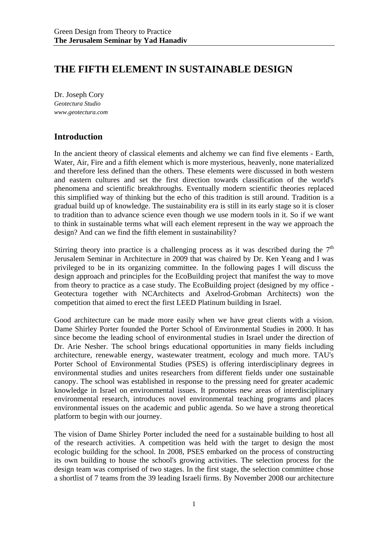# **THE FIFTH ELEMENT IN SUSTAINABLE DESIGN**

Dr. Joseph Cory *Geotectura Studio www.geotectura.com* 

# **Introduction**

In the ancient theory of classical elements and alchemy we can find five elements - Earth, Water, Air, Fire and a fifth element which is more mysterious, heavenly, none materialized and therefore less defined than the others. These elements were discussed in both western and eastern cultures and set the first direction towards classification of the world's phenomena and scientific breakthroughs. Eventually modern scientific theories replaced this simplified way of thinking but the echo of this tradition is still around. Tradition is a gradual build up of knowledge. The sustainability era is still in its early stage so it is closer to tradition than to advance science even though we use modern tools in it. So if we want to think in sustainable terms what will each element represent in the way we approach the design? And can we find the fifth element in sustainability?

Stirring theory into practice is a challenging process as it was described during the  $7<sup>th</sup>$ Jerusalem Seminar in Architecture in 2009 that was chaired by Dr. Ken Yeang and I was privileged to be in its organizing committee. In the following pages I will discuss the design approach and principles for the EcoBuilding project that manifest the way to move from theory to practice as a case study. The EcoBuilding project (designed by my office - Geotectura together with NCArchitects and Axelrod-Grobman Architects) won the competition that aimed to erect the first LEED Platinum building in Israel.

Good architecture can be made more easily when we have great clients with a vision. Dame Shirley Porter founded the Porter School of Environmental Studies in 2000. It has since become the leading school of environmental studies in Israel under the direction of Dr. Arie Nesher. The school brings educational opportunities in many fields including architecture, renewable energy, wastewater treatment, ecology and much more. TAU's Porter School of Environmental Studies (PSES) is offering interdisciplinary degrees in environmental studies and unites researchers from different fields under one sustainable canopy. The school was established in response to the pressing need for greater academic knowledge in Israel on environmental issues. It promotes new areas of interdisciplinary environmental research, introduces novel environmental teaching programs and places environmental issues on the academic and public agenda. So we have a strong theoretical platform to begin with our journey.

The vision of Dame Shirley Porter included the need for a sustainable building to host all of the research activities. A competition was held with the target to design the most ecologic building for the school. In 2008, PSES embarked on the process of constructing its own building to house the school's growing activities. The selection process for the design team was comprised of two stages. In the first stage, the selection committee chose a shortlist of 7 teams from the 39 leading Israeli firms. By November 2008 our architecture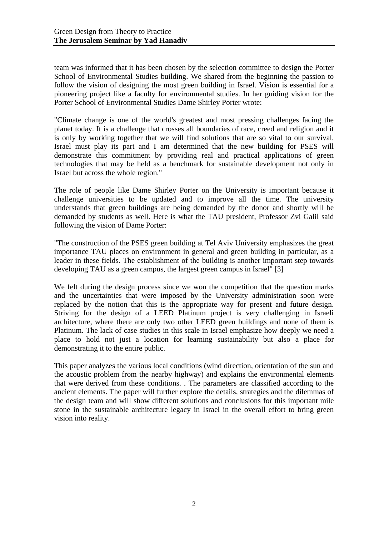team was informed that it has been chosen by the selection committee to design the Porter School of Environmental Studies building. We shared from the beginning the passion to follow the vision of designing the most green building in Israel. Vision is essential for a pioneering project like a faculty for environmental studies. In her guiding vision for the Porter School of Environmental Studies Dame Shirley Porter wrote:

"Climate change is one of the world's greatest and most pressing challenges facing the planet today. It is a challenge that crosses all boundaries of race, creed and religion and it is only by working together that we will find solutions that are so vital to our survival. Israel must play its part and I am determined that the new building for PSES will demonstrate this commitment by providing real and practical applications of green technologies that may be held as a benchmark for sustainable development not only in Israel but across the whole region."

The role of people like Dame Shirley Porter on the University is important because it challenge universities to be updated and to improve all the time. The university understands that green buildings are being demanded by the donor and shortly will be demanded by students as well. Here is what the TAU president, Professor Zvi Galil said following the vision of Dame Porter:

"The construction of the PSES green building at Tel Aviv University emphasizes the great importance TAU places on environment in general and green building in particular, as a leader in these fields. The establishment of the building is another important step towards developing TAU as a green campus, the largest green campus in Israel" [3]

We felt during the design process since we won the competition that the question marks and the uncertainties that were imposed by the University administration soon were replaced by the notion that this is the appropriate way for present and future design. Striving for the design of a LEED Platinum project is very challenging in Israeli architecture, where there are only two other LEED green buildings and none of them is Platinum. The lack of case studies in this scale in Israel emphasize how deeply we need a place to hold not just a location for learning sustainability but also a place for demonstrating it to the entire public.

This paper analyzes the various local conditions (wind direction, orientation of the sun and the acoustic problem from the nearby highway) and explains the environmental elements that were derived from these conditions. . The parameters are classified according to the ancient elements. The paper will further explore the details, strategies and the dilemmas of the design team and will show different solutions and conclusions for this important mile stone in the sustainable architecture legacy in Israel in the overall effort to bring green vision into reality.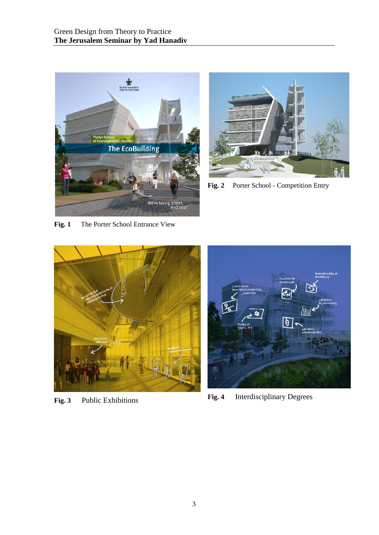



Fig. 2 Porter School - Competition Entry

**Fig. 1** The Porter School Entrance View





**Fig. 3** Public Exhibitions **Fig. 4** Interdisciplinary Degrees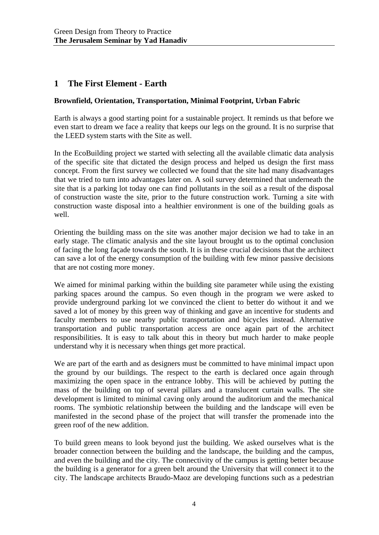# **1 The First Element - Earth**

#### **Brownfield, Orientation, Transportation, Minimal Footprint, Urban Fabric**

Earth is always a good starting point for a sustainable project. It reminds us that before we even start to dream we face a reality that keeps our legs on the ground. It is no surprise that the LEED system starts with the Site as well.

In the EcoBuilding project we started with selecting all the available climatic data analysis of the specific site that dictated the design process and helped us design the first mass concept. From the first survey we collected we found that the site had many disadvantages that we tried to turn into advantages later on. A soil survey determined that underneath the site that is a parking lot today one can find pollutants in the soil as a result of the disposal of construction waste the site, prior to the future construction work. Turning a site with construction waste disposal into a healthier environment is one of the building goals as well.

Orienting the building mass on the site was another major decision we had to take in an early stage. The climatic analysis and the site layout brought us to the optimal conclusion of facing the long façade towards the south. It is in these crucial decisions that the architect can save a lot of the energy consumption of the building with few minor passive decisions that are not costing more money.

We aimed for minimal parking within the building site parameter while using the existing parking spaces around the campus. So even though in the program we were asked to provide underground parking lot we convinced the client to better do without it and we saved a lot of money by this green way of thinking and gave an incentive for students and faculty members to use nearby public transportation and bicycles instead. Alternative transportation and public transportation access are once again part of the architect responsibilities. It is easy to talk about this in theory but much harder to make people understand why it is necessary when things get more practical.

We are part of the earth and as designers must be committed to have minimal impact upon the ground by our buildings. The respect to the earth is declared once again through maximizing the open space in the entrance lobby. This will be achieved by putting the mass of the building on top of several pillars and a translucent curtain walls. The site development is limited to minimal caving only around the auditorium and the mechanical rooms. The symbiotic relationship between the building and the landscape will even be manifested in the second phase of the project that will transfer the promenade into the green roof of the new addition.

To build green means to look beyond just the building. We asked ourselves what is the broader connection between the building and the landscape, the building and the campus, and even the building and the city. The connectivity of the campus is getting better because the building is a generator for a green belt around the University that will connect it to the city. The landscape architects Braudo-Maoz are developing functions such as a pedestrian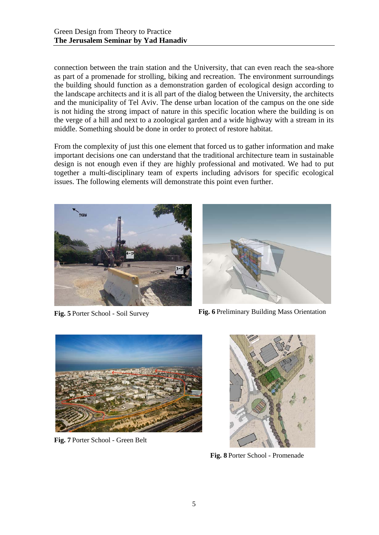connection between the train station and the University, that can even reach the sea-shore as part of a promenade for strolling, biking and recreation. The environment surroundings the building should function as a demonstration garden of ecological design according to the landscape architects and it is all part of the dialog between the University, the architects and the municipality of Tel Aviv. The dense urban location of the campus on the one side is not hiding the strong impact of nature in this specific location where the building is on the verge of a hill and next to a zoological garden and a wide highway with a stream in its middle. Something should be done in order to protect of restore habitat.

From the complexity of just this one element that forced us to gather information and make important decisions one can understand that the traditional architecture team in sustainable design is not enough even if they are highly professional and motivated. We had to put together a multi-disciplinary team of experts including advisors for specific ecological issues. The following elements will demonstrate this point even further.





**Fig. 5** Porter School - Soil Survey **Fig. 6** Preliminary Building Mass Orientation



**Fig. 7** Porter School - Green Belt



**Fig. 8** Porter School - Promenade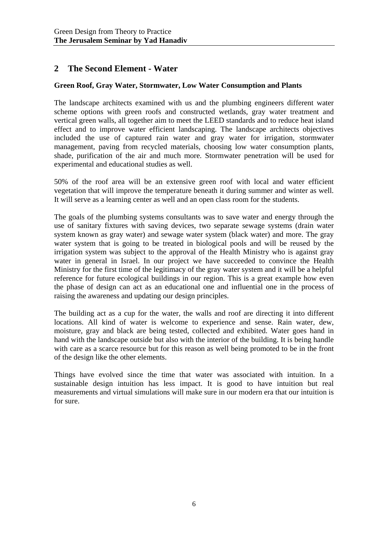# **2 The Second Element - Water**

#### **Green Roof, Gray Water, Stormwater, Low Water Consumption and Plants**

The landscape architects examined with us and the plumbing engineers different water scheme options with green roofs and constructed wetlands, gray water treatment and vertical green walls, all together aim to meet the LEED standards and to reduce heat island effect and to improve water efficient landscaping. The landscape architects objectives included the use of captured rain water and gray water for irrigation, stormwater management, paving from recycled materials, choosing low water consumption plants, shade, purification of the air and much more. Stormwater penetration will be used for experimental and educational studies as well.

50% of the roof area will be an extensive green roof with local and water efficient vegetation that will improve the temperature beneath it during summer and winter as well. It will serve as a learning center as well and an open class room for the students.

The goals of the plumbing systems consultants was to save water and energy through the use of sanitary fixtures with saving devices, two separate sewage systems (drain water system known as gray water) and sewage water system (black water) and more. The gray water system that is going to be treated in biological pools and will be reused by the irrigation system was subject to the approval of the Health Ministry who is against gray water in general in Israel. In our project we have succeeded to convince the Health Ministry for the first time of the legitimacy of the gray water system and it will be a helpful reference for future ecological buildings in our region. This is a great example how even the phase of design can act as an educational one and influential one in the process of raising the awareness and updating our design principles.

The building act as a cup for the water, the walls and roof are directing it into different locations. All kind of water is welcome to experience and sense. Rain water, dew, moisture, gray and black are being tested, collected and exhibited. Water goes hand in hand with the landscape outside but also with the interior of the building. It is being handle with care as a scarce resource but for this reason as well being promoted to be in the front of the design like the other elements.

Things have evolved since the time that water was associated with intuition. In a sustainable design intuition has less impact. It is good to have intuition but real measurements and virtual simulations will make sure in our modern era that our intuition is for sure.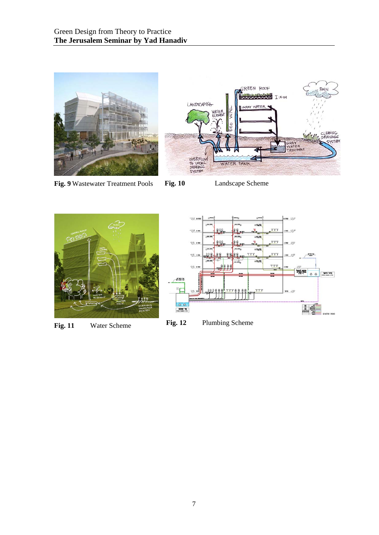

**Fig. 9** Wastewater Treatment Pools **Fig. 10** Landscape Scheme





**Fig. 11** Water Scheme **Fig. 12** Plumbing Scheme

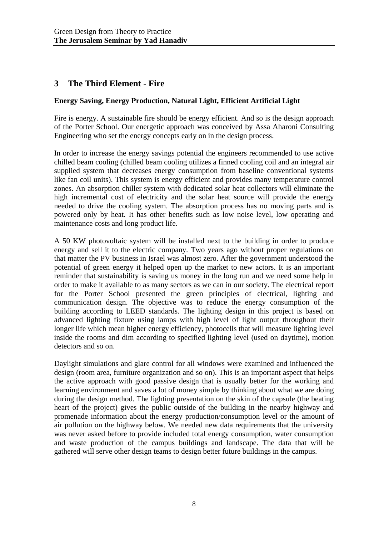# **3 The Third Element - Fire**

#### **Energy Saving, Energy Production, Natural Light, Efficient Artificial Light**

Fire is energy. A sustainable fire should be energy efficient. And so is the design approach of the Porter School. Our energetic approach was conceived by Assa Aharoni Consulting Engineering who set the energy concepts early on in the design process.

In order to increase the energy savings potential the engineers recommended to use active chilled beam cooling (chilled beam cooling utilizes a finned cooling coil and an integral air supplied system that decreases energy consumption from baseline conventional systems like fan coil units). This system is energy efficient and provides many temperature control zones. An absorption chiller system with dedicated solar heat collectors will eliminate the high incremental cost of electricity and the solar heat source will provide the energy needed to drive the cooling system. The absorption process has no moving parts and is powered only by heat. It has other benefits such as low noise level, low operating and maintenance costs and long product life.

A 50 KW photovoltaic system will be installed next to the building in order to produce energy and sell it to the electric company. Two years ago without proper regulations on that matter the PV business in Israel was almost zero. After the government understood the potential of green energy it helped open up the market to new actors. It is an important reminder that sustainability is saving us money in the long run and we need some help in order to make it available to as many sectors as we can in our society. The electrical report for the Porter School presented the green principles of electrical, lighting and communication design. The objective was to reduce the energy consumption of the building according to LEED standards. The lighting design in this project is based on advanced lighting fixture using lamps with high level of light output throughout their longer life which mean higher energy efficiency, photocells that will measure lighting level inside the rooms and dim according to specified lighting level (used on daytime), motion detectors and so on.

Daylight simulations and glare control for all windows were examined and influenced the design (room area, furniture organization and so on). This is an important aspect that helps the active approach with good passive design that is usually better for the working and learning environment and saves a lot of money simple by thinking about what we are doing during the design method. The lighting presentation on the skin of the capsule (the beating heart of the project) gives the public outside of the building in the nearby highway and promenade information about the energy production/consumption level or the amount of air pollution on the highway below. We needed new data requirements that the university was never asked before to provide included total energy consumption, water consumption and waste production of the campus buildings and landscape. The data that will be gathered will serve other design teams to design better future buildings in the campus.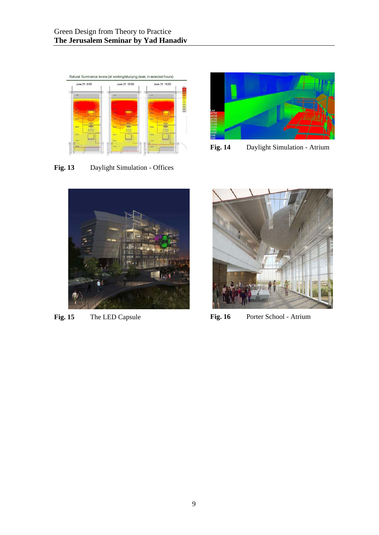

**Fig. 13** Daylight Simulation - Offices



**Fig. 14** Daylight Simulation - Atrium





Fig. 15 The LED Capsule **Fig. 16** Porter School - Atrium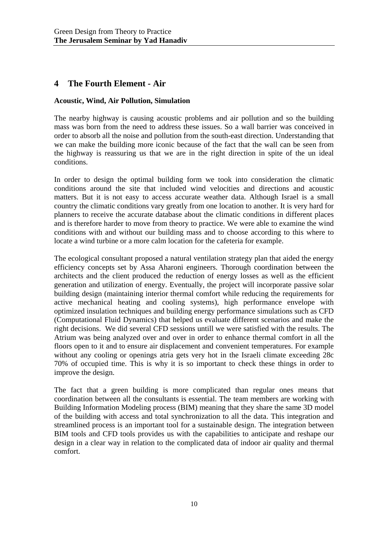# **4 The Fourth Element - Air**

#### **Acoustic, Wind, Air Pollution, Simulation**

The nearby highway is causing acoustic problems and air pollution and so the building mass was born from the need to address these issues. So a wall barrier was conceived in order to absorb all the noise and pollution from the south-east direction. Understanding that we can make the building more iconic because of the fact that the wall can be seen from the highway is reassuring us that we are in the right direction in spite of the un ideal conditions.

In order to design the optimal building form we took into consideration the climatic conditions around the site that included wind velocities and directions and acoustic matters. But it is not easy to access accurate weather data. Although Israel is a small country the climatic conditions vary greatly from one location to another. It is very hard for planners to receive the accurate database about the climatic conditions in different places and is therefore harder to move from theory to practice. We were able to examine the wind conditions with and without our building mass and to choose according to this where to locate a wind turbine or a more calm location for the cafeteria for example.

The ecological consultant proposed a natural ventilation strategy plan that aided the energy efficiency concepts set by Assa Aharoni engineers. Thorough coordination between the architects and the client produced the reduction of energy losses as well as the efficient generation and utilization of energy. Eventually, the project will incorporate passive solar building design (maintaining interior thermal comfort while reducing the requirements for active mechanical heating and cooling systems), high performance envelope with optimized insulation techniques and building energy performance simulations such as CFD (Computational Fluid Dynamics) that helped us evaluate different scenarios and make the right decisions. We did several CFD sessions untill we were satisfied with the results. The Atrium was being analyzed over and over in order to enhance thermal comfort in all the floors open to it and to ensure air displacement and convenient temperatures. For example without any cooling or openings atria gets very hot in the Israeli climate exceeding 28c 70% of occupied time. This is why it is so important to check these things in order to improve the design.

The fact that a green building is more complicated than regular ones means that coordination between all the consultants is essential. The team members are working with Building Information Modeling process (BIM) meaning that they share the same 3D model of the building with access and total synchronization to all the data. This integration and streamlined process is an important tool for a sustainable design. The integration between BIM tools and CFD tools provides us with the capabilities to anticipate and reshape our design in a clear way in relation to the complicated data of indoor air quality and thermal comfort.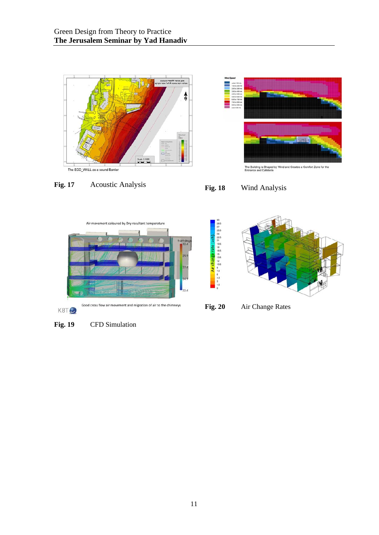





28.27.25.24.22.21.19.18.18.15.13.12.10.15.12.10.15





**Fig. 20** Air Change Rates

Fig. 19 CFD Simulation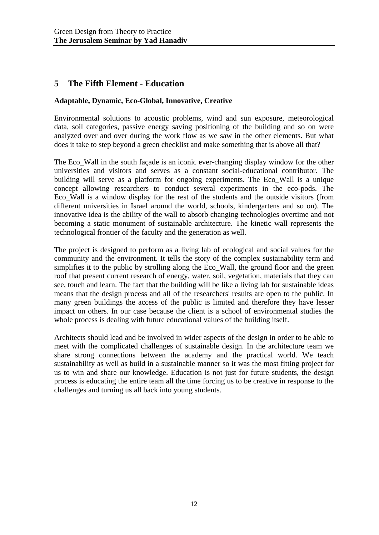### **5 The Fifth Element - Education**

#### **Adaptable, Dynamic, Eco-Global, Innovative, Creative**

Environmental solutions to acoustic problems, wind and sun exposure, meteorological data, soil categories, passive energy saving positioning of the building and so on were analyzed over and over during the work flow as we saw in the other elements. But what does it take to step beyond a green checklist and make something that is above all that?

The Eco–Wall in the south façade is an iconic ever-changing display window for the other universities and visitors and serves as a constant social-educational contributor. The building will serve as a platform for ongoing experiments. The Eco\_Wall is a unique concept allowing researchers to conduct several experiments in the eco-pods. The Eco\_Wall is a window display for the rest of the students and the outside visitors (from different universities in Israel around the world, schools, kindergartens and so on). The innovative idea is the ability of the wall to absorb changing technologies overtime and not becoming a static monument of sustainable architecture. The kinetic wall represents the technological frontier of the faculty and the generation as well.

The project is designed to perform as a living lab of ecological and social values for the community and the environment. It tells the story of the complex sustainability term and simplifies it to the public by strolling along the Eco\_Wall, the ground floor and the green roof that present current research of energy, water, soil, vegetation, materials that they can see, touch and learn. The fact that the building will be like a living lab for sustainable ideas means that the design process and all of the researchers' results are open to the public. In many green buildings the access of the public is limited and therefore they have lesser impact on others. In our case because the client is a school of environmental studies the whole process is dealing with future educational values of the building itself.

Architects should lead and be involved in wider aspects of the design in order to be able to meet with the complicated challenges of sustainable design. In the architecture team we share strong connections between the academy and the practical world. We teach sustainability as well as build in a sustainable manner so it was the most fitting project for us to win and share our knowledge. Education is not just for future students, the design process is educating the entire team all the time forcing us to be creative in response to the challenges and turning us all back into young students.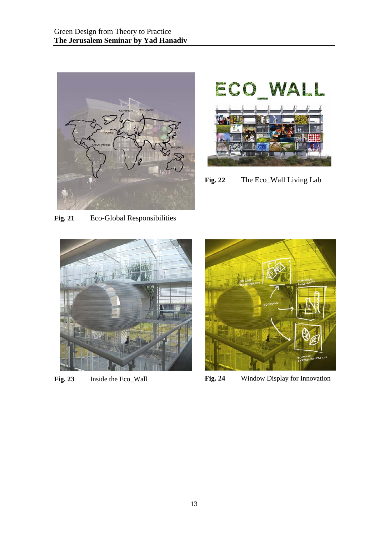



**Fig. 22** The Eco\_Wall Living Lab

**Fig. 21** Eco-Global Responsibilities





Fig. 23 Inside the Eco\_Wall **Fig. 24** Window Display for Innovation